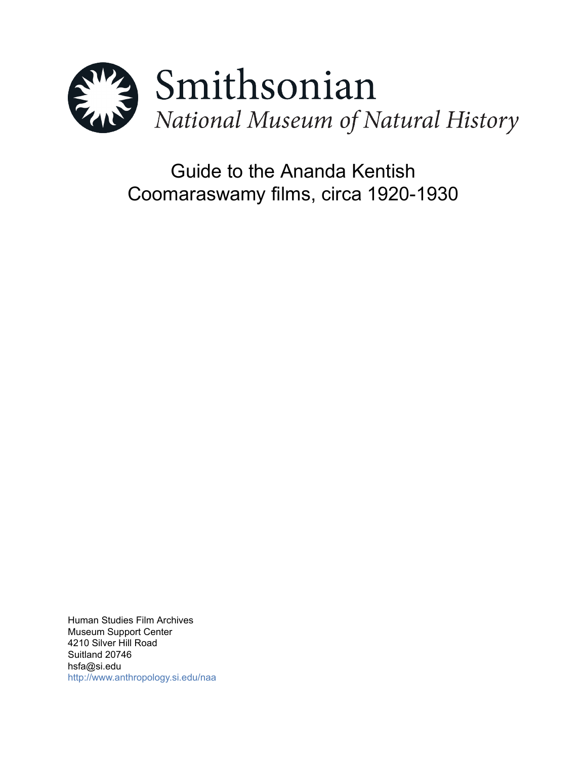

Guide to the Ananda Kentish Coomaraswamy films, circa 1920-1930

Human Studies Film Archives Museum Support Center 4210 Silver Hill Road Suitland 20746 hsfa@si.edu <http://www.anthropology.si.edu/naa>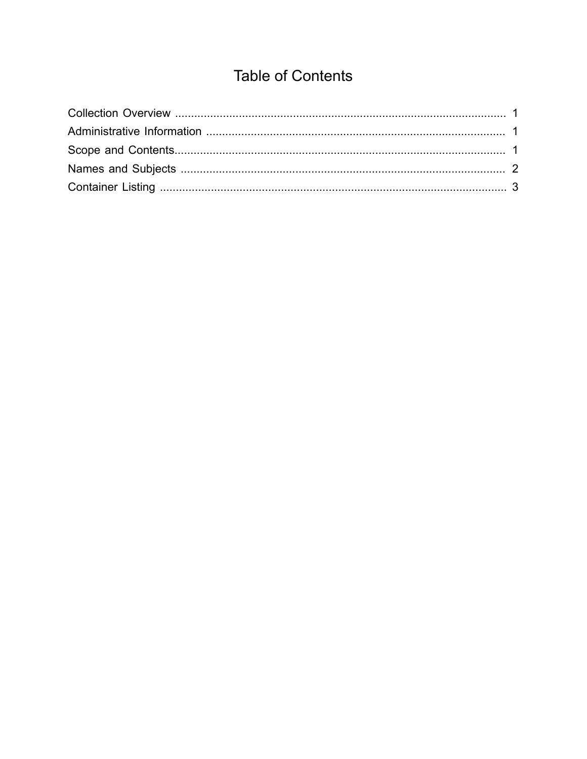# **Table of Contents**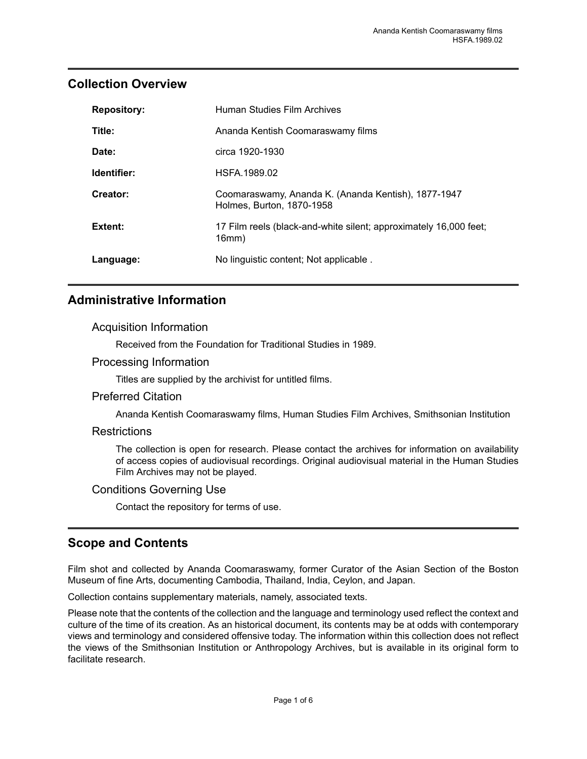### <span id="page-2-0"></span>**Collection Overview**

| <b>Repository:</b> | Human Studies Film Archives                                                      |  |  |
|--------------------|----------------------------------------------------------------------------------|--|--|
| Title:             | Ananda Kentish Coomaraswamy films                                                |  |  |
| Date:              | circa 1920-1930                                                                  |  |  |
| Identifier:        | HSFA.1989.02                                                                     |  |  |
| Creator:           | Coomaraswamy, Ananda K. (Ananda Kentish), 1877-1947<br>Holmes, Burton, 1870-1958 |  |  |
| Extent:            | 17 Film reels (black-and-white silent; approximately 16,000 feet;<br>16mm)       |  |  |
| Language:          | No linguistic content; Not applicable.                                           |  |  |

## <span id="page-2-1"></span>**Administrative Information**

#### Acquisition Information

Received from the Foundation for Traditional Studies in 1989.

#### Processing Information

Titles are supplied by the archivist for untitled films.

#### Preferred Citation

Ananda Kentish Coomaraswamy films, Human Studies Film Archives, Smithsonian Institution

#### **Restrictions**

The collection is open for research. Please contact the archives for information on availability of access copies of audiovisual recordings. Original audiovisual material in the Human Studies Film Archives may not be played.

#### Conditions Governing Use

Contact the repository for terms of use.

## <span id="page-2-2"></span>**Scope and Contents**

Film shot and collected by Ananda Coomaraswamy, former Curator of the Asian Section of the Boston Museum of fine Arts, documenting Cambodia, Thailand, India, Ceylon, and Japan.

Collection contains supplementary materials, namely, associated texts.

Please note that the contents of the collection and the language and terminology used reflect the context and culture of the time of its creation. As an historical document, its contents may be at odds with contemporary views and terminology and considered offensive today. The information within this collection does not reflect the views of the Smithsonian Institution or Anthropology Archives, but is available in its original form to facilitate research.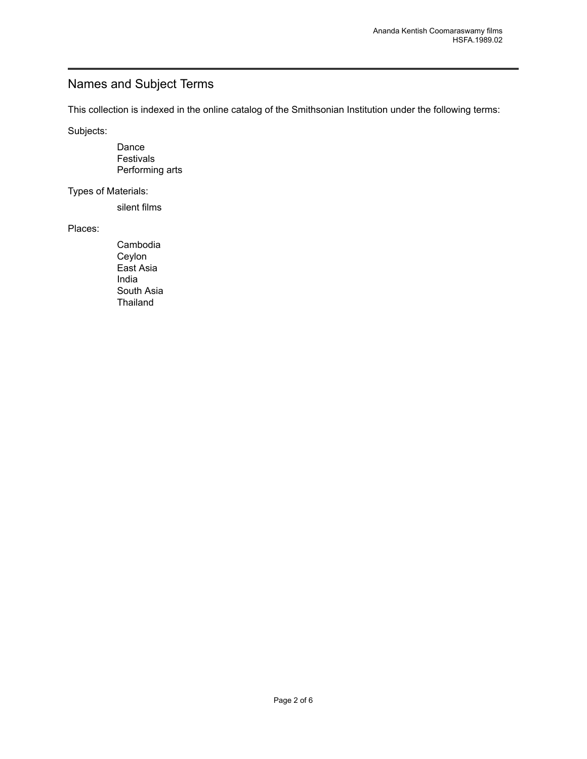## <span id="page-3-0"></span>Names and Subject Terms

This collection is indexed in the online catalog of the Smithsonian Institution under the following terms:

Subjects:

Dance Festivals Performing arts

Types of Materials:

silent films

Places:

Cambodia Ceylon East Asia India South Asia **Thailand**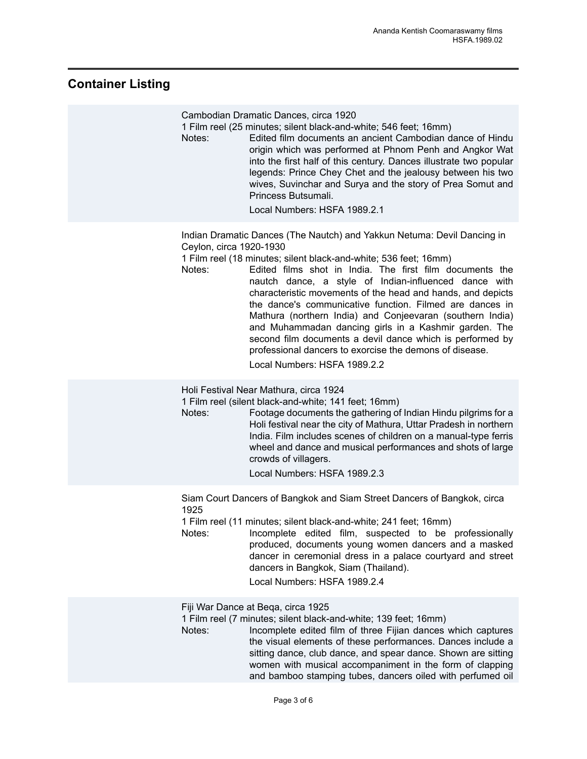## <span id="page-4-0"></span>**Container Listing**

| Notes:                            | Cambodian Dramatic Dances, circa 1920<br>1 Film reel (25 minutes; silent black-and-white; 546 feet; 16mm)<br>Edited film documents an ancient Cambodian dance of Hindu<br>origin which was performed at Phnom Penh and Angkor Wat<br>into the first half of this century. Dances illustrate two popular<br>legends: Prince Chey Chet and the jealousy between his two<br>wives, Suvinchar and Surya and the story of Prea Somut and<br>Princess Butsumali.<br>Local Numbers: HSFA 1989.2.1                                                                                                                                                                                |
|-----------------------------------|---------------------------------------------------------------------------------------------------------------------------------------------------------------------------------------------------------------------------------------------------------------------------------------------------------------------------------------------------------------------------------------------------------------------------------------------------------------------------------------------------------------------------------------------------------------------------------------------------------------------------------------------------------------------------|
| Ceylon, circa 1920-1930<br>Notes: | Indian Dramatic Dances (The Nautch) and Yakkun Netuma: Devil Dancing in<br>1 Film reel (18 minutes; silent black-and-white; 536 feet; 16mm)<br>Edited films shot in India. The first film documents the<br>nautch dance, a style of Indian-influenced dance with<br>characteristic movements of the head and hands, and depicts<br>the dance's communicative function. Filmed are dances in<br>Mathura (northern India) and Conjeevaran (southern India)<br>and Muhammadan dancing girls in a Kashmir garden. The<br>second film documents a devil dance which is performed by<br>professional dancers to exorcise the demons of disease.<br>Local Numbers: HSFA 1989.2.2 |
| Notes:                            | Holi Festival Near Mathura, circa 1924<br>1 Film reel (silent black-and-white; 141 feet; 16mm)<br>Footage documents the gathering of Indian Hindu pilgrims for a<br>Holi festival near the city of Mathura, Uttar Pradesh in northern<br>India. Film includes scenes of children on a manual-type ferris<br>wheel and dance and musical performances and shots of large<br>crowds of villagers.<br>Local Numbers: HSFA 1989.2.3                                                                                                                                                                                                                                           |
| 1925<br>Notes:                    | Siam Court Dancers of Bangkok and Siam Street Dancers of Bangkok, circa<br>1 Film reel (11 minutes; silent black-and-white; 241 feet; 16mm)<br>Incomplete edited film, suspected to be professionally<br>produced, documents young women dancers and a masked<br>dancer in ceremonial dress in a palace courtyard and street<br>dancers in Bangkok, Siam (Thailand).<br>Local Numbers: HSFA 1989.2.4                                                                                                                                                                                                                                                                      |
| Notes:                            | Fiji War Dance at Beqa, circa 1925<br>1 Film reel (7 minutes; silent black-and-white; 139 feet; 16mm)<br>Incomplete edited film of three Fijian dances which captures<br>the visual elements of these performances. Dances include a<br>sitting dance, club dance, and spear dance. Shown are sitting<br>women with musical accompaniment in the form of clapping<br>and bamboo stamping tubes, dancers oiled with perfumed oil                                                                                                                                                                                                                                           |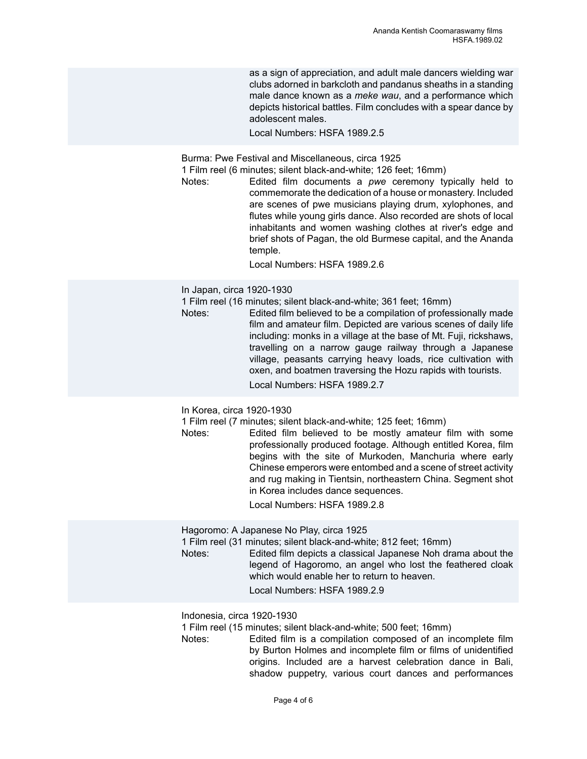as a sign of appreciation, and adult male dancers wielding war clubs adorned in barkcloth and pandanus sheaths in a standing male dance known as a *meke wau*, and a performance which depicts historical battles. Film concludes with a spear dance by adolescent males.

Local Numbers: HSFA 1989.2.5

Burma: Pwe Festival and Miscellaneous, circa 1925

1 Film reel (6 minutes; silent black-and-white; 126 feet; 16mm)

Notes: Edited film documents a *pwe* ceremony typically held to commemorate the dedication of a house or monastery. Included are scenes of pwe musicians playing drum, xylophones, and flutes while young girls dance. Also recorded are shots of local inhabitants and women washing clothes at river's edge and brief shots of Pagan, the old Burmese capital, and the Ananda temple.

Local Numbers: HSFA 1989.2.6

#### In Japan, circa 1920-1930

1 Film reel (16 minutes; silent black-and-white; 361 feet; 16mm)

Notes: Edited film believed to be a compilation of professionally made film and amateur film. Depicted are various scenes of daily life including: monks in a village at the base of Mt. Fuji, rickshaws, travelling on a narrow gauge railway through a Japanese village, peasants carrying heavy loads, rice cultivation with oxen, and boatmen traversing the Hozu rapids with tourists. Local Numbers: HSFA 1989.2.7

#### In Korea, circa 1920-1930

1 Film reel (7 minutes; silent black-and-white; 125 feet; 16mm)

Notes: Edited film believed to be mostly amateur film with some professionally produced footage. Although entitled Korea, film begins with the site of Murkoden, Manchuria where early Chinese emperors were entombed and a scene of street activity and rug making in Tientsin, northeastern China. Segment shot in Korea includes dance sequences.

Local Numbers: HSFA 1989.2.8

Hagoromo: A Japanese No Play, circa 1925

1 Film reel (31 minutes; silent black-and-white; 812 feet; 16mm)

Edited film depicts a classical Japanese Noh drama about the legend of Hagoromo, an angel who lost the feathered cloak which would enable her to return to heaven.

Local Numbers: HSFA 1989 2.9

Indonesia, circa 1920-1930

1 Film reel (15 minutes; silent black-and-white; 500 feet; 16mm)

Notes: Edited film is a compilation composed of an incomplete film by Burton Holmes and incomplete film or films of unidentified origins. Included are a harvest celebration dance in Bali, shadow puppetry, various court dances and performances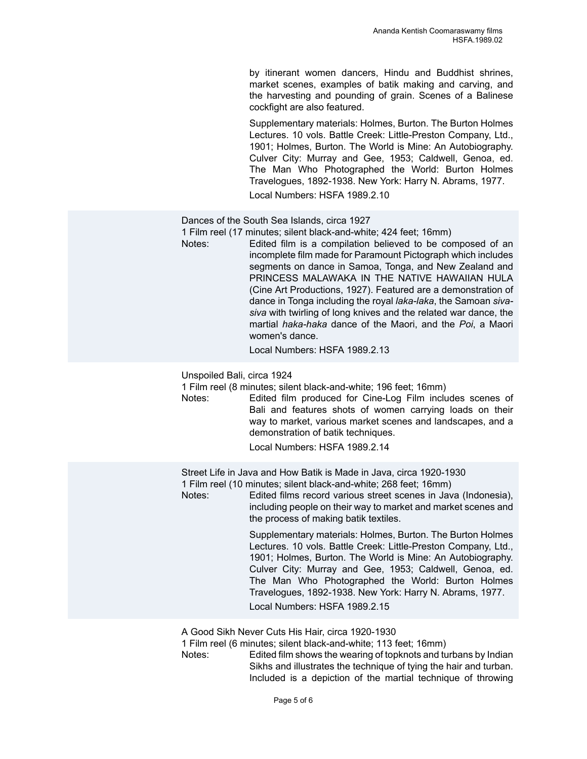by itinerant women dancers, Hindu and Buddhist shrines, market scenes, examples of batik making and carving, and the harvesting and pounding of grain. Scenes of a Balinese cockfight are also featured.

Supplementary materials: Holmes, Burton. The Burton Holmes Lectures. 10 vols. Battle Creek: Little-Preston Company, Ltd., 1901; Holmes, Burton. The World is Mine: An Autobiography. Culver City: Murray and Gee, 1953; Caldwell, Genoa, ed. The Man Who Photographed the World: Burton Holmes Travelogues, 1892-1938. New York: Harry N. Abrams, 1977.

Local Numbers: HSFA 1989.2.10

Dances of the South Sea Islands, circa 1927

1 Film reel (17 minutes; silent black-and-white; 424 feet; 16mm)

Notes: Edited film is a compilation believed to be composed of an incomplete film made for Paramount Pictograph which includes segments on dance in Samoa, Tonga, and New Zealand and PRINCESS MALAWAKA IN THE NATIVE HAWAIIAN HULA (Cine Art Productions, 1927). Featured are a demonstration of dance in Tonga including the royal *laka-laka*, the Samoan *sivasiva* with twirling of long knives and the related war dance, the martial *haka-haka* dance of the Maori, and the *Poi*, a Maori women's dance.

Local Numbers: HSFA 1989.2.13

Unspoiled Bali, circa 1924

1 Film reel (8 minutes; silent black-and-white; 196 feet; 16mm)

Notes: Edited film produced for Cine-Log Film includes scenes of Bali and features shots of women carrying loads on their way to market, various market scenes and landscapes, and a demonstration of batik techniques.

Local Numbers: HSFA 1989.2.14

Street Life in Java and How Batik is Made in Java, circa 1920-1930

1 Film reel (10 minutes; silent black-and-white; 268 feet; 16mm)

Notes: Edited films record various street scenes in Java (Indonesia), including people on their way to market and market scenes and the process of making batik textiles.

> Supplementary materials: Holmes, Burton. The Burton Holmes Lectures. 10 vols. Battle Creek: Little-Preston Company, Ltd., 1901; Holmes, Burton. The World is Mine: An Autobiography. Culver City: Murray and Gee, 1953; Caldwell, Genoa, ed. The Man Who Photographed the World: Burton Holmes Travelogues, 1892-1938. New York: Harry N. Abrams, 1977.

Local Numbers: HSFA 1989.2.15

A Good Sikh Never Cuts His Hair, circa 1920-1930

1 Film reel (6 minutes; silent black-and-white; 113 feet; 16mm)

Notes: Edited film shows the wearing of topknots and turbans by Indian Sikhs and illustrates the technique of tying the hair and turban. Included is a depiction of the martial technique of throwing